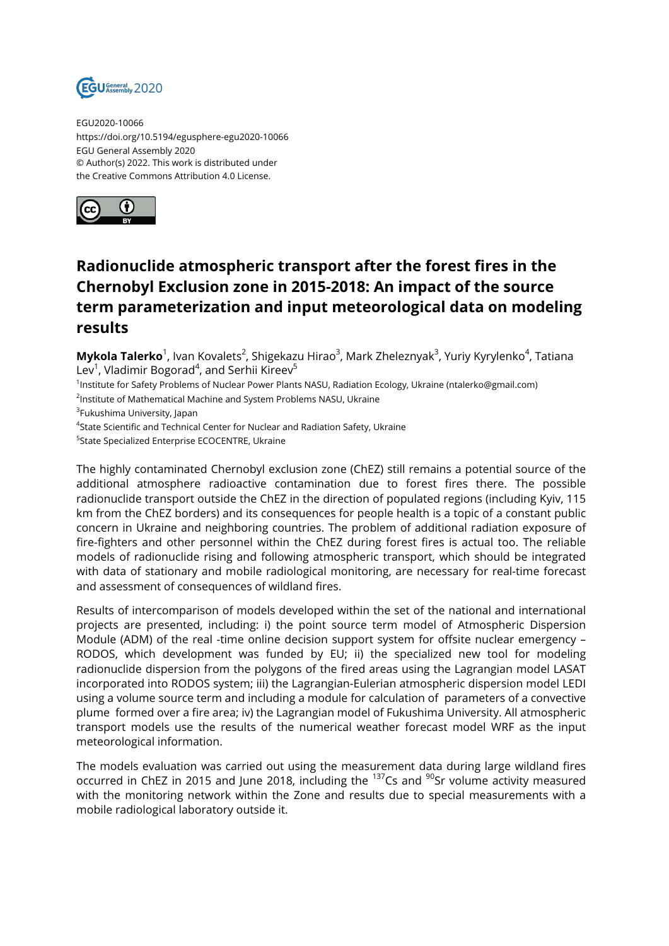

EGU2020-10066 https://doi.org/10.5194/egusphere-egu2020-10066 EGU General Assembly 2020 © Author(s) 2022. This work is distributed under the Creative Commons Attribution 4.0 License.



## **Radionuclide atmospheric transport after the forest fires in the Chernobyl Exclusion zone in 2015-2018: An impact of the source term parameterization and input meteorological data on modeling results**

**Mykola Talerko**<sup>1</sup>, Ivan Kovalets<sup>2</sup>, Shigekazu Hirao<sup>3</sup>, Mark Zheleznyak<sup>3</sup>, Yuriy Kyrylenko<sup>4</sup>, Tatiana Lev<sup>1</sup>, Vladimir Bogorad<sup>4</sup>, and Serhii Kireev<sup>5</sup>

1 Institute for Safety Problems of Nuclear Power Plants NASU, Radiation Ecology, Ukraine (ntalerko@gmail.com)

 $^{\mathsf{2}}$ Institute of Mathematical Machine and System Problems NASU, Ukraine

<sup>3</sup>Fukushima University, Japan

 ${\rm ^4}$ State Scientific and Technical Center for Nuclear and Radiation Safety, Ukraine

5 State Specialized Enterprise ECOCENTRE, Ukraine

The highly contaminated Chernobyl exclusion zone (ChEZ) still remains a potential source of the additional atmosphere radioactive contamination due to forest fires there. The possible radionuclide transport outside the ChEZ in the direction of populated regions (including Kyiv, 115 km from the ChEZ borders) and its consequences for people health is a topic of a constant public concern in Ukraine and neighboring countries. The problem of additional radiation exposure of fire-fighters and other personnel within the ChEZ during forest fires is actual too. The reliable models of radionuclide rising and following atmospheric transport, which should be integrated with data of stationary and mobile radiological monitoring, are necessary for real-time forecast and assessment of consequences of wildland fires.

Results of intercomparison of models developed within the set of the national and international projects are presented, including: i) the point source term model of Atmospheric Dispersion Module (ADM) of the real -time online decision support system for offsite nuclear emergency – RODOS, which development was funded by EU; ii) the specialized new tool for modeling radionuclide dispersion from the polygons of the fired areas using the Lagrangian model LASAT incorporated into RODOS system; iii) the Lagrangian-Eulerian atmospheric dispersion model LEDI using a volume source term and including a module for calculation of parameters of a convective plume formed over a fire area; iv) the Lagrangian model of Fukushima University. All atmospheric transport models use the results of the numerical weather forecast model WRF as the input meteorological information.

The models evaluation was carried out using the measurement data during large wildland fires occurred in ChEZ in 2015 and June 2018, including the <sup>137</sup>Cs and <sup>90</sup>Sr volume activity measured with the monitoring network within the Zone and results due to special measurements with a mobile radiological laboratory outside it.